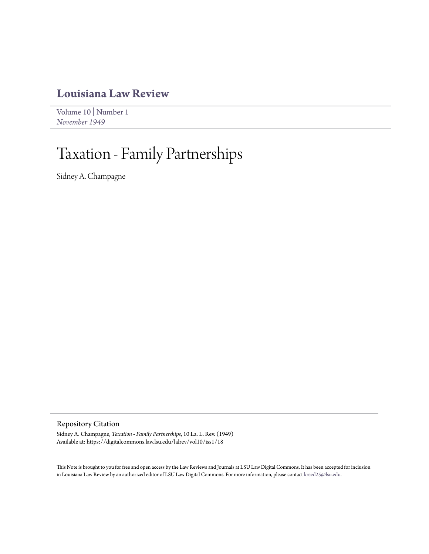## **[Louisiana Law Review](https://digitalcommons.law.lsu.edu/lalrev)**

[Volume 10](https://digitalcommons.law.lsu.edu/lalrev/vol10) | [Number 1](https://digitalcommons.law.lsu.edu/lalrev/vol10/iss1) *[November 1949](https://digitalcommons.law.lsu.edu/lalrev/vol10/iss1)*

## Taxation - Family Partnerships

Sidney A. Champagne

Repository Citation

Sidney A. Champagne, *Taxation - Family Partnerships*, 10 La. L. Rev. (1949) Available at: https://digitalcommons.law.lsu.edu/lalrev/vol10/iss1/18

This Note is brought to you for free and open access by the Law Reviews and Journals at LSU Law Digital Commons. It has been accepted for inclusion in Louisiana Law Review by an authorized editor of LSU Law Digital Commons. For more information, please contact [kreed25@lsu.edu](mailto:kreed25@lsu.edu).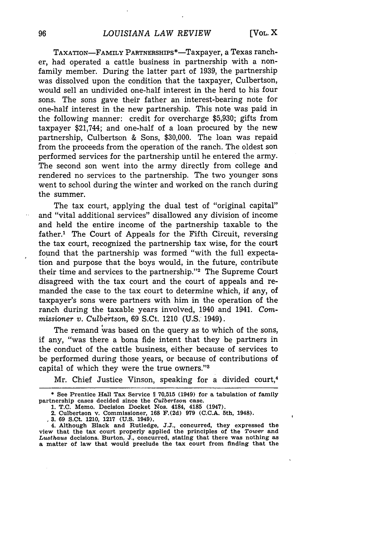x

TAXATION-FAMILY PARTNERSHIPS\*-Taxpayer, a Texas rancher, had operated a cattle business in partnership with a nonfamily member. During the latter part of 1939, the partnership was dissolved upon the condition that the taxpayer, Culbertson, would sell an undivided one-half interest in the herd to his four sons. The sons gave their father an interest-bearing note for one-half interest in the new partnership. This note was paid in the following manner: credit for overcharge \$5,930; gifts from taxpayer \$21,744; and one-half of a loan procured by the new partnership, Culbertson & Sons, \$30,000. The loan was repaid from the proceeds from the operation of the ranch. The oldest son performed services for the partnership until he entered the army. The second son went into the army directly from college and rendered no services to the partnership. The two younger sons went to school during the winter and worked on the ranch during the summer.

The tax court, applying the dual test of "original capital" and "vital additional services" disallowed any division of income and held the entire income of the partnership taxable to the father.' The Court of Appeals for the Fifth Circuit, reversing the tax court, recognized the partnership tax wise, for the court found that the partnership was formed "with the full expectation and purpose that the boys would, in the future, contribute their time and services to the partnership."<sup>2</sup> The Supreme Court disagreed with the tax court and the court of appeals and remanded the case to the tax court to determine which, if any, of taxpayer's sons were partners with him in the operation of the ranch during the taxable years involved, 1940 and 1941. Com*missioner v. Culbertson,* 69 S.Ct. 1210 (U.S. 1949).

The remand was based on the query as to which of the sons, if any, "was there a bona fide intent that they be partners in the conduct of the cattle business, either because of services to be performed during those years, or because of contributions of capital of which they were the true owners."'8

Mr. Chief Justice Vinson, speaking for a divided court,<sup>4</sup>

**03. 69 S.Ct. 1210, 1217 (U.S. 1949).**

**4. Although Black and Rutledge, J.J., concurred, they expressed the view that the tax court properly applied the principles of the** *Tower* **and** *Lusthaus* **decisions. Burton, J., concurred, stating that there was nothing as a matter of law that would preclude the tax court from finding that the**

96

<sup>\*</sup> **See Prentice Hall Tax Service I1 70,515 (1949) for a** tabulation of **family partnership cases decided since the** *Culbertson* **case.**

**<sup>1.</sup> T.C. Memo. Decision Docket Nos. 4184, 4185 (1947). 2. Culbertson v. Commissioner, 168 F.(2d) 979 (C.C.A. 5th, 1948).**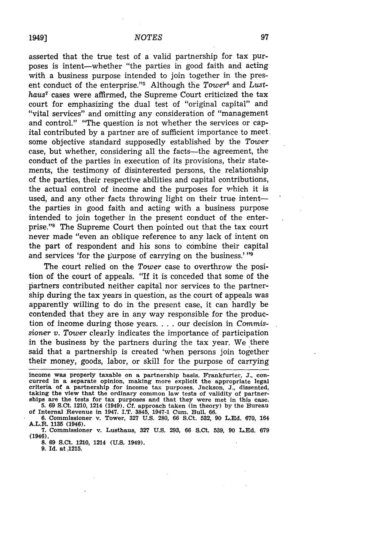asserted that the true test of a valid partnership for tax purposes is intent-whether "the parties in good faith and acting with a business purpose intended to join together in the present conduct of the enterprise."<sup>5</sup> Although the *Tower*<sup>6</sup> and *LusthauS7* cases were affirmed, the Supreme Court criticized the tax court for emphasizing the dual test of "original capital" and "vital services" and omitting any consideration of "management and control." "The question is not whether the services or capital contributed by a partner are of sufficient importance to meet some objective standard supposedly established by the *Tower* case, but whether, considering all the facts—the agreement, the conduct of the parties in execution of its provisions, their statements, the testimony of disinterested persons, the relationship of the parties, their respective abilities and capital contributions, the actual control of income and the purposes for which it is used, and any other facts throwing light on their true intentthe parties in good faith and acting with a business purpose intended to join together in the present conduct of the enterprise."<sup>8</sup> The Supreme Court then pointed out that the tax court never made "even an oblique reference to any lack of intent on the part of respondent and his sons to combine their capital and services 'for the  $\mu$ urpose of carrying on the business.' "9

The court relied on the *Tower* case to overthrow the position of the court of appeals. "If it is conceded that some of the partners contributed neither capital nor services to the partnership during the tax years in question, as the court of appeals was apparently willing to do in the present case, it can hardly be contended that they are in any way responsible for the production of income during those years. . **.** . our decision in *Commissioner v. Tower* clearly indicates the importance of participation in the business by the partners during the tax year. We there said that a partnership is created 'when persons join together their money, goods, labor, or skill for the purpose of carrying

income was properly taxable on a partnership basis. Frankfurter, J., con-<br>curred in a separate opinion, making more explicit the appropriate legal<br>criteria of a partnership for income tax purposes. Jackson, J., dissented, taking **the view** that **the** ordinary common **law tests** of validity **of** partner**ships are the tests** for tax purposes and that they were **met in** this **case. 5. 69 S.Ct.** 1210, 1214 (1949). **Cf.** approach taken **(in** theory) **by** the Bureau

**of** Internal **Revenue in** 1947. I.T. 3845, 1947-1 Cum. Bull. **66. 6.** Commissioner v. Tower, **327 U.S. 280, 66** S.Ct. **532, 90 L.Ed. 670, 164** A.L.R. **1135** (1946).

**7.** Commissioner v. **Lusthaus, 327 U.S. 293, 66 S.Ct. 539, 90 L.Ed. 679 (1946).**

**8. 69** S.Ct. 1210, 1214 **(U.S.** 1949).

**9.** Id. **at 1215.**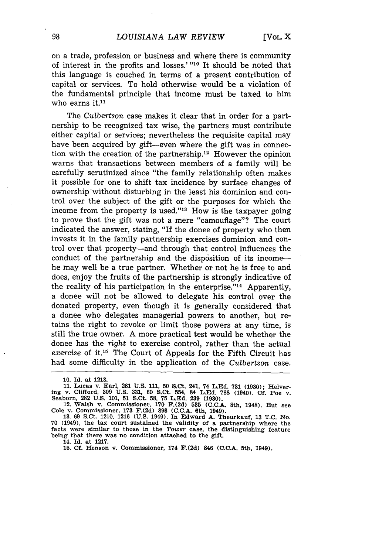on a trade, profession or business and where there is community of interest in the profits and losses.' "10 It should be noted that this language is couched in terms of a present contribution of capital or services. To hold otherwise would be a violation of the fundamental principle that income must be taxed to him who earns it. $11$ 

The *Culbertson* case makes it clear that in order for a partnership to be recognized tax wise, the partners must contribute either capital or services; nevertheless the requisite capital may have been acquired by gift--even where the gift was in connection with the creation of the partnership.<sup>12</sup> However the opinion warns that transactions between members of a family will be carefully scrutinized since "the family relationship often makes it possible for one to shift tax incidence by surface changes of ownership without disturbing in the least his dominion and control over the subject of the gift or the purposes for which the income from the property is used." $13$  How is the taxpayer going to prove that the gift was not a mere "camouflage"? The court indicated the answer, stating, "If the donee of property who then invests it in the family partnership exercises dominion and control over that property-and through that control influences the conduct of the partnership and the disposition of its incomehe may well be a true partner. Whether or not he is free to and does, enjoy the fruits of the partnership is strongly indicative of the reality of his participation in the enterprise."<sup>14</sup> Apparently, a donee will not be allowed to delegate his control over the donated property, even though it is generally considered that a donee who delegates managerial powers to another, but retains the right to revoke or limit those powers at any time, is still the true owner. A more practical test would be whether the donee has the right to exercise control, rather than the actual exercise of it.<sup>15</sup> The Court of Appeals for the Fifth Circuit has had some difficulty in the application of the *Culbertson* case.

14. **Id. at 1217.**

**<sup>10.</sup>** Id. at **1213.**

**<sup>11.</sup> Lucas v. Earl, 281 U.S. 111, 50 S.Ct. 241, 74 L.Ed. 731 (1930); Helver**ing v. Clifford, **309 U.S. 331, 60 S.Ct.** 554, **84 L.Ed. 788** (1940). **Cf. Poe** v. Seaborn, **282 U.S. 101, 51 S.Ct. 58, 75 L.Ed. 239 (1930).**

<sup>12.</sup> Walsh v. Commissioner, 170 F. (2d) 535 (C.C.A. 8th, 1948). But see<br>Cole v. Commissioner, 173 F. (2d) 893 (C.C.A. 6th, 1949). 385 (S.C.A. 8th, 1948). But see

**<sup>70</sup>** (1949), the **tax** court sustained the validity of **a** partnership where **the** facts were similar to those in the *Tower* case, the distinguishing feature being that there **was** no condition attached to **the** gift.

**<sup>15.</sup> Cf. Henson v. Commissioner, 174 F.(2d) 846 (C.C.A. 5th, 1949).**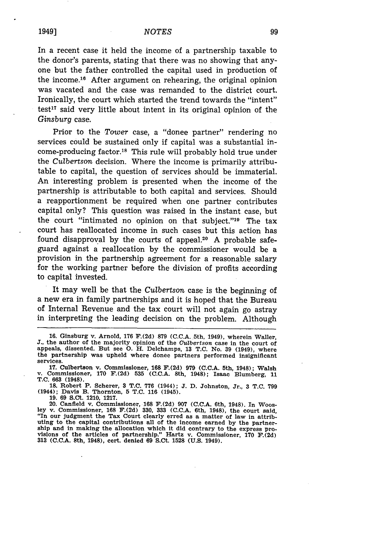In a recent case it held the income of a partnership taxable to the donor's parents, stating that there was no showing that anyone but the father controlled the capital used in production of the income.<sup>16</sup> After argument on rehearing, the original opinion was vacated and the case was remanded to the district court. Ironically, the court which started the trend towards the "intent"  $test<sup>17</sup>$  said very little about intent in its original opinion of the *Ginsburg* case.

Prior to the *Tower* case, a "donee partner" rendering no services could be sustained only if capital was a substantial income-producing factor.<sup>18</sup> This rule will probably hold true under the *Culbertson* decision. Where the income is primarily attributable to capital, the question of services should be immaterial. An interesting problem is presented when the income of the partnership is attributable to both capital and services. Should a reapportionment be required when one partner contributes capital only? This question was raised in the instant case, but the court "intimated no opinion on that subject." $19$  The tax court has reallocated income in such cases but this action has found disapproval by the courts of appeal.<sup>20</sup> A probable safeguard against a reallocation by the commissioner would be a provision in the partnership agreement for a reasonable salary for the working partner before the division of profits according to capital invested.

It may well be that the *Culbertson* case is the beginning of a new era in family partnerships and it is hoped that the Bureau of Internal Revenue and the tax court will not again go astray in interpreting the leading decision on the problem. Although

**19. 69 S.Ct. 1210, 1217.**

**<sup>16.</sup>** Ginsburg v. Arnold, **176 F.(2d) 879** (C.C.A. 5th, 1949), wherein Waller, **J.,** the author of the majority opinion of the *Gulbertson* case in the court of appeals, dissented. But see **0.** H. Delchamps, **13 T.C.** No. **39** (1949), where the partnership was upheld where donee partners performed insignificant services.

**<sup>17.</sup> Culbertson v. Commissioner, 168 F.(2d) 979 (C.C.A.** 5th, **1948); Walsh v. Commissioner, 170 F.(2d) 535 (C.C.A. 8th, 1948); Isaac Blumberg, 11 T.C. 663 (1948).**

**<sup>18.</sup> Robert P. Scherer, 3 T.C. 776 (1944); J. D. Johnston, Jr., 3 T.C. 799 (1944); Davis B. Thornton, 5 T.C. 116 (1945).**

<sup>20.</sup> Canfield v. Commissioner, 168 F.(2d) 907 (C.C.A. 6th, 1948). In Woosley v. Commissioner, 168 F.(2d) 330, 333 (C.C.A. 6th, 1948), the court said, "In our judgment the Tax Court clearly erred as a matter of law in attrib The capital contributions all of the income earned by the partner-<br>ship and in making the allocation which it did contrary to the express pro-<br>visions of the articles of partnership." Hartz v. Commissioner, 170 F.(2d) visions of the articles of partnership." Hartz v. Commissioner, 170 F.(2d) 313 (C.C.A. 8th, 1948), cert. denied 69 S.Ct. 1528 (U.S. 1949).